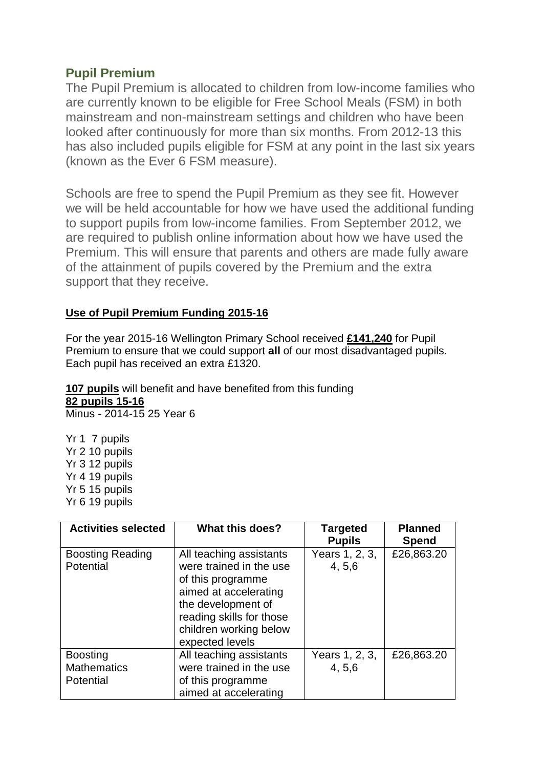## **Pupil Premium**

The Pupil Premium is allocated to children from low-income families who are currently known to be eligible for Free School Meals (FSM) in both mainstream and non-mainstream settings and children who have been looked after continuously for more than six months. From 2012-13 this has also included pupils eligible for FSM at any point in the last six years (known as the Ever 6 FSM measure).

Schools are free to spend the Pupil Premium as they see fit. However we will be held accountable for how we have used the additional funding to support pupils from low-income families. From September 2012, we are required to publish online information about how we have used the Premium. This will ensure that parents and others are made fully aware of the attainment of pupils covered by the Premium and the extra support that they receive.

### **Use of Pupil Premium Funding 2015-16**

For the year 2015-16 Wellington Primary School received **£141,240** for Pupil Premium to ensure that we could support **all** of our most disadvantaged pupils. Each pupil has received an extra £1320.

**107 pupils** will benefit and have benefited from this funding **82 pupils 15-16**  Minus - 2014-15 25 Year 6

Yr 1 7 pupils Yr 2 10 pupils Yr 3 12 pupils Yr 4 19 pupils Yr 5 15 pupils Yr 6 19 pupils

| <b>Activities selected</b>                                | What this does?                                                                                                                                                                                 | <b>Targeted</b><br><b>Pupils</b> | <b>Planned</b><br>Spend |
|-----------------------------------------------------------|-------------------------------------------------------------------------------------------------------------------------------------------------------------------------------------------------|----------------------------------|-------------------------|
| <b>Boosting Reading</b><br>Potential                      | All teaching assistants<br>were trained in the use<br>of this programme<br>aimed at accelerating<br>the development of<br>reading skills for those<br>children working below<br>expected levels | Years 1, 2, 3,<br>4, 5, 6        | £26,863.20              |
| <b>Boosting</b><br><b>Mathematics</b><br><b>Potential</b> | All teaching assistants<br>were trained in the use<br>of this programme<br>aimed at accelerating                                                                                                | Years 1, 2, 3,<br>4, 5, 6        | £26,863.20              |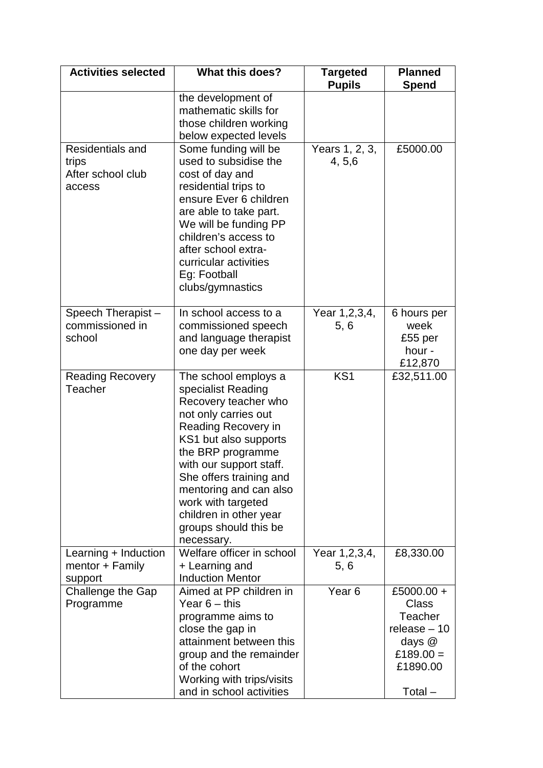| <b>Activities selected</b>                               | <b>What this does?</b>                                                                                                                                                                                                                                                                                                                 | <b>Targeted</b><br><b>Pupils</b> | <b>Planned</b><br>Spend                                                                                        |
|----------------------------------------------------------|----------------------------------------------------------------------------------------------------------------------------------------------------------------------------------------------------------------------------------------------------------------------------------------------------------------------------------------|----------------------------------|----------------------------------------------------------------------------------------------------------------|
|                                                          | the development of<br>mathematic skills for<br>those children working<br>below expected levels                                                                                                                                                                                                                                         |                                  |                                                                                                                |
| Residentials and<br>trips<br>After school club<br>access | Some funding will be<br>used to subsidise the<br>cost of day and<br>residential trips to<br>ensure Ever 6 children<br>are able to take part.<br>We will be funding PP<br>children's access to<br>after school extra-<br>curricular activities<br>Eg: Football<br>clubs/gymnastics                                                      | Years 1, 2, 3,<br>4, 5, 6        | £5000.00                                                                                                       |
| Speech Therapist-<br>commissioned in<br>school           | In school access to a<br>commissioned speech<br>and language therapist<br>one day per week                                                                                                                                                                                                                                             | Year 1, 2, 3, 4,<br>5, 6         | 6 hours per<br>week<br>£55 per<br>hour -<br>£12,870                                                            |
| <b>Reading Recovery</b><br>Teacher                       | The school employs a<br>specialist Reading<br>Recovery teacher who<br>not only carries out<br>Reading Recovery in<br>KS1 but also supports<br>the BRP programme<br>with our support staff.<br>She offers training and<br>mentoring and can also<br>work with targeted<br>children in other year<br>groups should this be<br>necessary. | KS <sub>1</sub>                  | £32,511.00                                                                                                     |
| Learning + Induction<br>mentor + Family<br>support       | Welfare officer in school<br>+ Learning and<br><b>Induction Mentor</b>                                                                                                                                                                                                                                                                 | Year 1, 2, 3, 4,<br>5, 6         | £8,330.00                                                                                                      |
| Challenge the Gap<br>Programme                           | Aimed at PP children in<br>Year $6 -$ this<br>programme aims to<br>close the gap in<br>attainment between this<br>group and the remainder<br>of the cohort<br>Working with trips/visits<br>and in school activities                                                                                                                    | Year <sub>6</sub>                | £5000.00 +<br><b>Class</b><br><b>Teacher</b><br>release $-10$<br>days $@$<br>£189.00 $=$<br>£1890.00<br>Total- |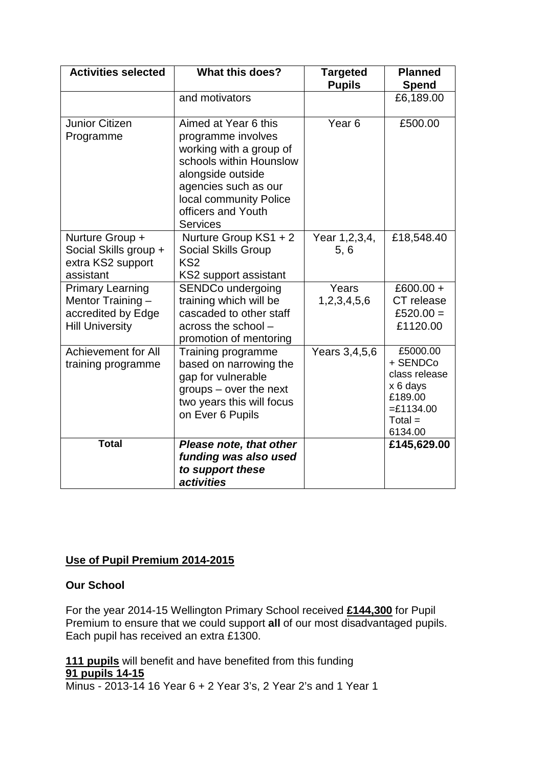| <b>Activities selected</b>                                                                   | <b>What this does?</b>                                                                                                                                                                                           | <b>Targeted</b><br><b>Pupils</b> | <b>Planned</b><br><b>Spend</b>                                                                      |
|----------------------------------------------------------------------------------------------|------------------------------------------------------------------------------------------------------------------------------------------------------------------------------------------------------------------|----------------------------------|-----------------------------------------------------------------------------------------------------|
|                                                                                              | and motivators                                                                                                                                                                                                   |                                  | £6,189.00                                                                                           |
| Junior Citizen<br>Programme                                                                  | Aimed at Year 6 this<br>programme involves<br>working with a group of<br>schools within Hounslow<br>alongside outside<br>agencies such as our<br>local community Police<br>officers and Youth<br><b>Services</b> | Year <sub>6</sub>                | £500.00                                                                                             |
| Nurture Group +<br>Social Skills group +<br>extra KS2 support<br>assistant                   | Nurture Group KS1 + 2<br><b>Social Skills Group</b><br>KS <sub>2</sub><br>KS2 support assistant                                                                                                                  | Year 1, 2, 3, 4,<br>5,6          | £18,548.40                                                                                          |
| <b>Primary Learning</b><br>Mentor Training -<br>accredited by Edge<br><b>Hill University</b> | <b>SENDCo undergoing</b><br>training which will be<br>cascaded to other staff<br>across the school -<br>promotion of mentoring                                                                                   | Years<br>1,2,3,4,5,6             | £600.00 +<br>CT release<br>£520.00 $=$<br>£1120.00                                                  |
| <b>Achievement for All</b><br>training programme                                             | Training programme<br>based on narrowing the<br>gap for vulnerable<br>$groups - over the next$<br>two years this will focus<br>on Ever 6 Pupils                                                                  | Years 3,4,5,6                    | £5000.00<br>+ SENDCo<br>class release<br>x 6 days<br>£189.00<br>$=£1134.00$<br>$Total =$<br>6134.00 |
| <b>Total</b>                                                                                 | Please note, that other<br>funding was also used<br>to support these<br>activities                                                                                                                               |                                  | £145,629.00                                                                                         |

### **Use of Pupil Premium 2014-2015**

#### **Our School**

For the year 2014-15 Wellington Primary School received **£144,300** for Pupil Premium to ensure that we could support **all** of our most disadvantaged pupils. Each pupil has received an extra £1300.

**111 pupils** will benefit and have benefited from this funding **91 pupils 14-15**  Minus - 2013-14 16 Year 6 + 2 Year 3's, 2 Year 2's and 1 Year 1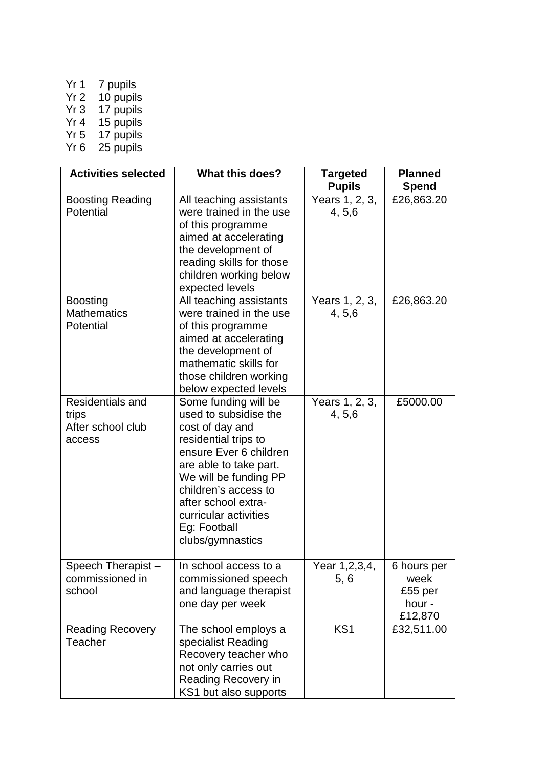- Yr 1 7 pupils
- Yr 2 10 pupils
- Yr 3 17 pupils
- Yr 4 15 pupils
- Yr 5 17 pupils
- Yr 6 25 pupils

| <b>Activities selected</b>                               | <b>What this does?</b>                                                                                                                                                                                                                                                            | <b>Targeted</b><br><b>Pupils</b> | <b>Planned</b><br><b>Spend</b>                      |
|----------------------------------------------------------|-----------------------------------------------------------------------------------------------------------------------------------------------------------------------------------------------------------------------------------------------------------------------------------|----------------------------------|-----------------------------------------------------|
| <b>Boosting Reading</b><br>Potential                     | All teaching assistants<br>were trained in the use<br>of this programme<br>aimed at accelerating<br>the development of<br>reading skills for those<br>children working below<br>expected levels                                                                                   | Years 1, 2, 3,<br>4, 5, 6        | £26,863.20                                          |
| <b>Boosting</b><br><b>Mathematics</b><br>Potential       | All teaching assistants<br>were trained in the use<br>of this programme<br>aimed at accelerating<br>the development of<br>mathematic skills for<br>those children working<br>below expected levels                                                                                | Years 1, 2, 3,<br>4, 5, 6        | £26,863.20                                          |
| Residentials and<br>trips<br>After school club<br>access | Some funding will be<br>used to subsidise the<br>cost of day and<br>residential trips to<br>ensure Ever 6 children<br>are able to take part.<br>We will be funding PP<br>children's access to<br>after school extra-<br>curricular activities<br>Eg: Football<br>clubs/gymnastics | Years 1, 2, 3,<br>4, 5, 6        | £5000.00                                            |
| Speech Therapist-<br>commissioned in<br>school           | In school access to a<br>commissioned speech<br>and language therapist<br>one day per week                                                                                                                                                                                        | Year 1,2,3,4,<br>5, 6            | 6 hours per<br>week<br>£55 per<br>hour -<br>£12,870 |
| <b>Reading Recovery</b><br>Teacher                       | The school employs a<br>specialist Reading<br>Recovery teacher who<br>not only carries out<br>Reading Recovery in<br>KS1 but also supports                                                                                                                                        | KS <sub>1</sub>                  | £32,511.00                                          |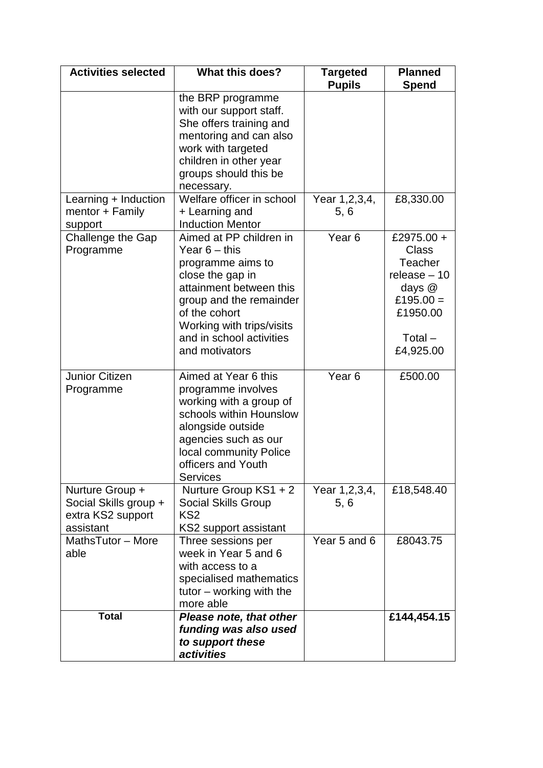| <b>Activities selected</b>                                                 | <b>What this does?</b>                                                                                                                                                                                                                | <b>Targeted</b><br><b>Pupils</b> | <b>Planned</b><br><b>Spend</b>                                                                                                 |
|----------------------------------------------------------------------------|---------------------------------------------------------------------------------------------------------------------------------------------------------------------------------------------------------------------------------------|----------------------------------|--------------------------------------------------------------------------------------------------------------------------------|
|                                                                            | the BRP programme<br>with our support staff.<br>She offers training and<br>mentoring and can also<br>work with targeted<br>children in other year<br>groups should this be<br>necessary.                                              |                                  |                                                                                                                                |
| Learning + Induction<br>mentor + Family<br>support                         | Welfare officer in school<br>+ Learning and<br><b>Induction Mentor</b>                                                                                                                                                                | Year 1, 2, 3, 4,<br>5, 6         | £8,330.00                                                                                                                      |
| Challenge the Gap<br>Programme                                             | Aimed at PP children in<br>Year $6 -$ this<br>programme aims to<br>close the gap in<br>attainment between this<br>group and the remainder<br>of the cohort<br>Working with trips/visits<br>and in school activities<br>and motivators | Year <sub>6</sub>                | £2975.00 +<br><b>Class</b><br><b>Teacher</b><br>release $-10$<br>days $@$<br>£195.00 $=$<br>£1950.00<br>$Total -$<br>£4,925.00 |
| <b>Junior Citizen</b><br>Programme                                         | Aimed at Year 6 this<br>programme involves<br>working with a group of<br>schools within Hounslow<br>alongside outside<br>agencies such as our<br>local community Police<br>officers and Youth<br><b>Services</b>                      | Year <sub>6</sub>                | £500.00                                                                                                                        |
| Nurture Group +<br>Social Skills group +<br>extra KS2 support<br>assistant | Nurture Group KS1 + 2<br>Social Skills Group<br>KS <sub>2</sub><br>KS2 support assistant                                                                                                                                              | Year 1,2,3,4,<br>5, 6            | £18,548.40                                                                                                                     |
| MathsTutor - More<br>able                                                  | Three sessions per<br>week in Year 5 and 6<br>with access to a<br>specialised mathematics<br>tutor $-$ working with the<br>more able                                                                                                  | Year 5 and 6                     | £8043.75                                                                                                                       |
| <b>Total</b>                                                               | Please note, that other<br>funding was also used<br>to support these<br>activities                                                                                                                                                    |                                  | £144,454.15                                                                                                                    |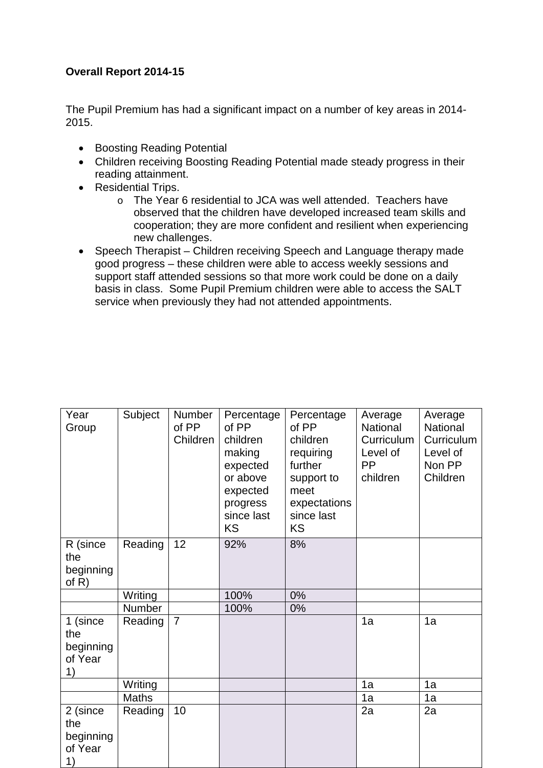### **Overall Report 2014-15**

The Pupil Premium has had a significant impact on a number of key areas in 2014- 2015.

- Boosting Reading Potential
- Children receiving Boosting Reading Potential made steady progress in their reading attainment.
- Residential Trips.
	- o The Year 6 residential to JCA was well attended. Teachers have observed that the children have developed increased team skills and cooperation; they are more confident and resilient when experiencing new challenges.
- Speech Therapist Children receiving Speech and Language therapy made good progress – these children were able to access weekly sessions and support staff attended sessions so that more work could be done on a daily basis in class. Some Pupil Premium children were able to access the SALT service when previously they had not attended appointments.

| Year<br>Group                                 | Subject      | Number<br>of PP<br>Children | Percentage<br>of PP<br>children<br>making<br>expected<br>or above<br>expected<br>progress<br>since last<br><b>KS</b> | Percentage<br>of PP<br>children<br>requiring<br>further<br>support to<br>meet<br>expectations<br>since last<br><b>KS</b> | Average<br>National<br>Curriculum<br>Level of<br><b>PP</b><br>children | Average<br>National<br>Curriculum<br>Level of<br>Non PP<br>Children |
|-----------------------------------------------|--------------|-----------------------------|----------------------------------------------------------------------------------------------------------------------|--------------------------------------------------------------------------------------------------------------------------|------------------------------------------------------------------------|---------------------------------------------------------------------|
| R (since<br>the<br>beginning<br>of $R$ )      | Reading      | 12                          | 92%                                                                                                                  | 8%                                                                                                                       |                                                                        |                                                                     |
|                                               | Writing      |                             | 100%                                                                                                                 | 0%                                                                                                                       |                                                                        |                                                                     |
|                                               | Number       |                             | 100%                                                                                                                 | 0%                                                                                                                       |                                                                        |                                                                     |
| 1 (since<br>the<br>beginning<br>of Year<br>1) | Reading      | $\overline{7}$              |                                                                                                                      |                                                                                                                          | 1a                                                                     | 1a                                                                  |
|                                               | Writing      |                             |                                                                                                                      |                                                                                                                          | 1a                                                                     | 1a                                                                  |
|                                               | <b>Maths</b> |                             |                                                                                                                      |                                                                                                                          | 1a                                                                     | 1a                                                                  |
| 2 (since<br>the<br>beginning<br>of Year<br>1) | Reading      | 10                          |                                                                                                                      |                                                                                                                          | 2a                                                                     | 2a                                                                  |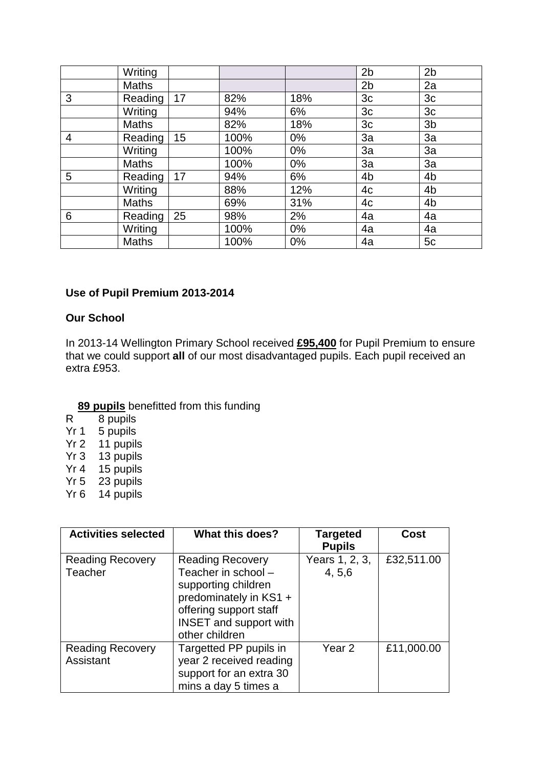|   | Writing      |    |      |       | 2 <sub>b</sub> | 2 <sub>b</sub> |
|---|--------------|----|------|-------|----------------|----------------|
|   | <b>Maths</b> |    |      |       | 2 <sub>b</sub> | 2a             |
| 3 | Reading      | 17 | 82%  | 18%   | 3 <sub>c</sub> | 3 <sub>c</sub> |
|   | Writing      |    | 94%  | 6%    | 3c             | 3 <sub>c</sub> |
|   | <b>Maths</b> |    | 82%  | 18%   | 3c             | 3 <sub>b</sub> |
| 4 | Reading      | 15 | 100% | $0\%$ | 3a             | 3a             |
|   | Writing      |    | 100% | $0\%$ | 3a             | 3a             |
|   | <b>Maths</b> |    | 100% | $0\%$ | 3a             | 3a             |
| 5 | Reading      | 17 | 94%  | 6%    | 4 <sub>b</sub> | 4 <sub>b</sub> |
|   | Writing      |    | 88%  | 12%   | 4c             | 4 <sub>b</sub> |
|   | <b>Maths</b> |    | 69%  | 31%   | 4c             | 4 <sub>b</sub> |
| 6 | Reading      | 25 | 98%  | 2%    | 4a             | 4a             |
|   | Writing      |    | 100% | $0\%$ | 4a             | 4a             |
|   | <b>Maths</b> |    | 100% | 0%    | 4a             | 5c             |

### **Use of Pupil Premium 2013-2014**

### **Our School**

In 2013-14 Wellington Primary School received **£95,400** for Pupil Premium to ensure that we could support **all** of our most disadvantaged pupils. Each pupil received an extra £953.

# **89 pupils** benefitted from this funding<br>R 8 pupils

- R 8 pupils<br>Yr 1 5 pupils
- 5 pupils
- Yr 2 11 pupils
- Yr 3 13 pupils
- Yr 4 15 pupils
- Yr 5 23 pupils
- Yr 6 14 pupils

| <b>Activities selected</b>           | <b>What this does?</b>                                                                                                                                                       | <b>Targeted</b><br><b>Pupils</b> | Cost       |
|--------------------------------------|------------------------------------------------------------------------------------------------------------------------------------------------------------------------------|----------------------------------|------------|
| <b>Reading Recovery</b><br>Teacher   | <b>Reading Recovery</b><br>Teacher in school -<br>supporting children<br>predominately in KS1 +<br>offering support staff<br><b>INSET and support with</b><br>other children | Years 1, 2, 3,<br>4, 5, 6        | £32,511.00 |
| <b>Reading Recovery</b><br>Assistant | Targetted PP pupils in<br>year 2 received reading<br>support for an extra 30<br>mins a day 5 times a                                                                         | Year <sub>2</sub>                | £11,000.00 |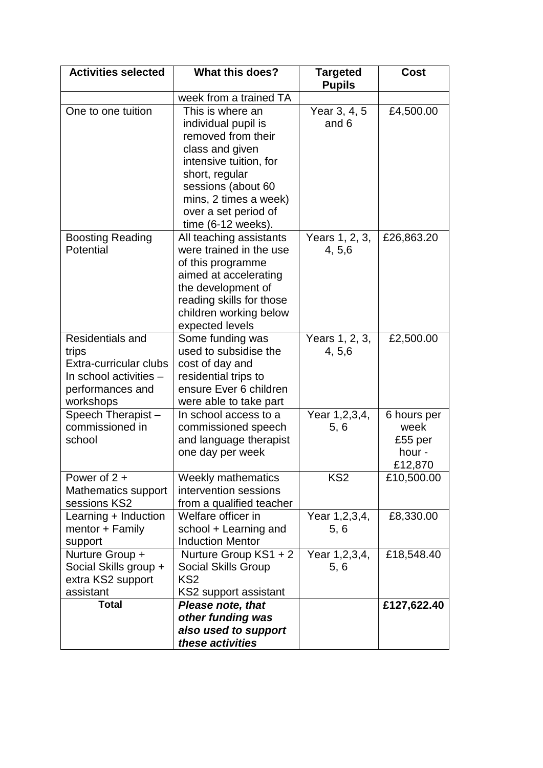| <b>Activities selected</b>                                                                                     | <b>What this does?</b>                                                                                                                                                                                                      | <b>Targeted</b><br><b>Pupils</b> | <b>Cost</b>                                         |
|----------------------------------------------------------------------------------------------------------------|-----------------------------------------------------------------------------------------------------------------------------------------------------------------------------------------------------------------------------|----------------------------------|-----------------------------------------------------|
|                                                                                                                | week from a trained TA                                                                                                                                                                                                      |                                  |                                                     |
| One to one tuition                                                                                             | This is where an<br>individual pupil is<br>removed from their<br>class and given<br>intensive tuition, for<br>short, regular<br>sessions (about 60<br>mins, 2 times a week)<br>over a set period of<br>$time (6-12 weeks).$ | Year 3, 4, 5<br>and 6            | £4,500.00                                           |
| <b>Boosting Reading</b><br>Potential                                                                           | All teaching assistants<br>were trained in the use<br>of this programme<br>aimed at accelerating<br>the development of<br>reading skills for those<br>children working below<br>expected levels                             | Years 1, 2, 3,<br>4, 5, 6        | £26,863.20                                          |
| Residentials and<br>trips<br>Extra-curricular clubs<br>In school activities -<br>performances and<br>workshops | Some funding was<br>used to subsidise the<br>cost of day and<br>residential trips to<br>ensure Ever 6 children<br>were able to take part                                                                                    | Years 1, 2, 3,<br>4, 5, 6        | £2,500.00                                           |
| Speech Therapist-<br>commissioned in<br>school                                                                 | In school access to a<br>commissioned speech<br>and language therapist<br>one day per week                                                                                                                                  | Year 1,2,3,4,<br>5, 6            | 6 hours per<br>week<br>£55 per<br>hour -<br>£12,870 |
| Power of $2 +$<br>Mathematics support<br>sessions KS2                                                          | <b>Weekly mathematics</b><br>intervention sessions<br>from a qualified teacher                                                                                                                                              | KS <sub>2</sub>                  | £10,500.00                                          |
| Learning + Induction<br>mentor + Family<br>support                                                             | Welfare officer in<br>school + Learning and<br><b>Induction Mentor</b>                                                                                                                                                      | Year 1,2,3,4,<br>5, 6            | £8,330.00                                           |
| Nurture Group +<br>Social Skills group +<br>extra KS2 support<br>assistant                                     | Nurture Group KS1 + 2<br><b>Social Skills Group</b><br>KS <sub>2</sub><br>KS2 support assistant                                                                                                                             | Year 1, 2, 3, 4,<br>5, 6         | £18,548.40                                          |
| <b>Total</b>                                                                                                   | <b>Please note, that</b><br>other funding was<br>also used to support<br>these activities                                                                                                                                   |                                  | £127,622.40                                         |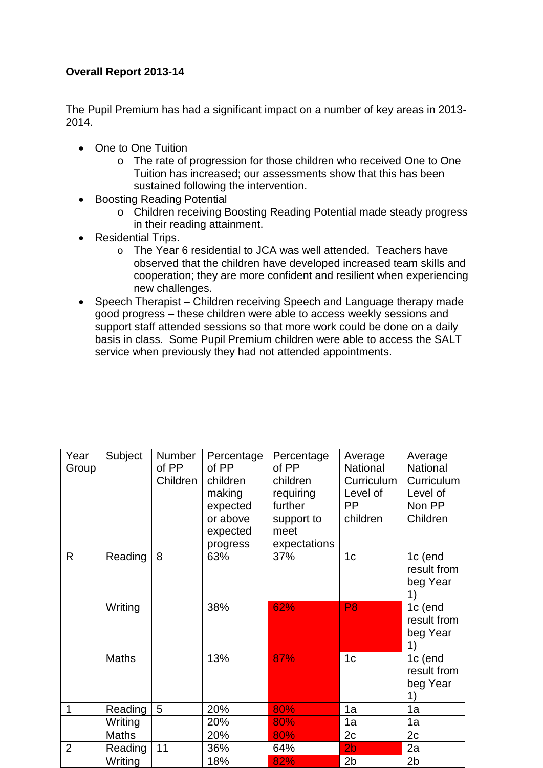### **Overall Report 2013-14**

The Pupil Premium has had a significant impact on a number of key areas in 2013- 2014.

- One to One Tuition
	- o The rate of progression for those children who received One to One Tuition has increased; our assessments show that this has been sustained following the intervention.
- Boosting Reading Potential
	- o Children receiving Boosting Reading Potential made steady progress in their reading attainment.
- Residential Trips.
	- o The Year 6 residential to JCA was well attended. Teachers have observed that the children have developed increased team skills and cooperation; they are more confident and resilient when experiencing new challenges.
- Speech Therapist Children receiving Speech and Language therapy made good progress – these children were able to access weekly sessions and support staff attended sessions so that more work could be done on a daily basis in class. Some Pupil Premium children were able to access the SALT service when previously they had not attended appointments.

| Year<br>Group  | Subject      | Number<br>of PP<br>Children | Percentage<br>of PP<br>children<br>making<br>expected<br>or above<br>expected<br>progress | Percentage<br>of PP<br>children<br>requiring<br>further<br>support to<br>meet<br>expectations | Average<br>National<br>Curriculum<br>Level of<br><b>PP</b><br>children | Average<br>National<br>Curriculum<br>Level of<br>Non PP<br>Children |
|----------------|--------------|-----------------------------|-------------------------------------------------------------------------------------------|-----------------------------------------------------------------------------------------------|------------------------------------------------------------------------|---------------------------------------------------------------------|
| R              | Reading      | 8                           | 63%                                                                                       | 37%                                                                                           | 1 <sub>c</sub>                                                         | 1c (end<br>result from<br>beg Year<br>1)                            |
|                | Writing      |                             | 38%                                                                                       | 62%                                                                                           | P <sub>8</sub>                                                         | 1c (end<br>result from<br>beg Year<br>1)                            |
|                | <b>Maths</b> |                             | 13%                                                                                       | 87%                                                                                           | 1 <sub>c</sub>                                                         | 1c (end<br>result from<br>beg Year<br>1)                            |
| 1              | Reading      | 5                           | 20%                                                                                       | 80%                                                                                           | 1a                                                                     | 1a                                                                  |
|                | Writing      |                             | 20%                                                                                       | 80%                                                                                           | 1a                                                                     | 1a                                                                  |
|                | Maths        |                             | 20%                                                                                       | 80%                                                                                           | 2c                                                                     | 2c                                                                  |
| $\overline{2}$ | Reading      | 11                          | 36%                                                                                       | 64%                                                                                           | 2 <sub>b</sub>                                                         | 2a                                                                  |
|                | Writing      |                             | 18%                                                                                       | 82%                                                                                           | 2 <sub>b</sub>                                                         | 2 <sub>b</sub>                                                      |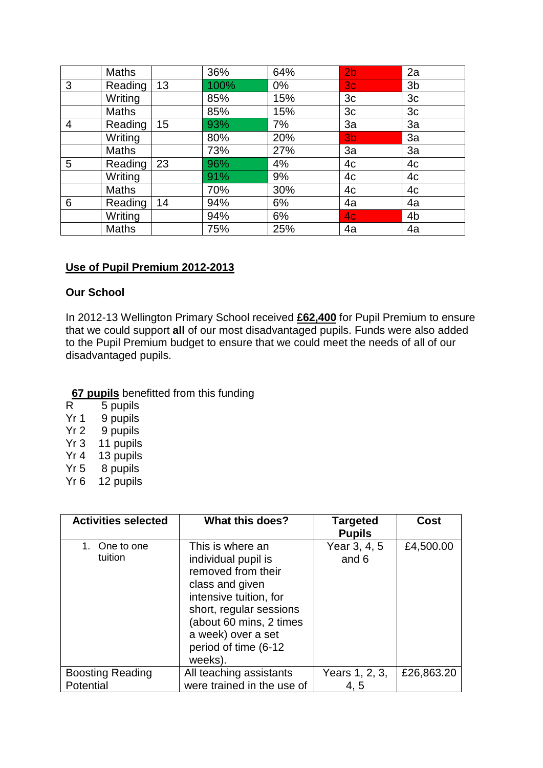|                | <b>Maths</b> |    | 36%  | 64% | 2 <sub>b</sub> | 2a             |
|----------------|--------------|----|------|-----|----------------|----------------|
| 3              | Reading      | 13 | 100% | 0%  | 3 <sub>c</sub> | 3 <sub>b</sub> |
|                | Writing      |    | 85%  | 15% | 3 <sub>c</sub> | 3c             |
|                | <b>Maths</b> |    | 85%  | 15% | 3 <sub>c</sub> | 3 <sub>c</sub> |
| $\overline{4}$ | Reading      | 15 | 93%  | 7%  | 3a             | 3a             |
|                | Writing      |    | 80%  | 20% | 3 <sub>b</sub> | 3a             |
|                | <b>Maths</b> |    | 73%  | 27% | 3a             | 3a             |
| 5              | Reading      | 23 | 96%  | 4%  | 4c             | 4c             |
|                | Writing      |    | 91%  | 9%  | 4c             | 4c             |
|                | <b>Maths</b> |    | 70%  | 30% | 4c             | 4c             |
| 6              | Reading      | 14 | 94%  | 6%  | 4a             | 4a             |
|                | Writing      |    | 94%  | 6%  | 4 <sub>c</sub> | 4 <sub>b</sub> |
|                | <b>Maths</b> |    | 75%  | 25% | 4a             | 4a             |

### **Use of Pupil Premium 2012-2013**

#### **Our School**

In 2012-13 Wellington Primary School received **£62,400** for Pupil Premium to ensure that we could support **all** of our most disadvantaged pupils. Funds were also added to the Pupil Premium budget to ensure that we could meet the needs of all of our disadvantaged pupils.

# **<u>67 pupils</u>** benefitted from this funding<br>R 5 pupils

- R 5 pupils<br>Yr 1 9 pupils
- 9 pupils
- Yr 2 9 pupils
- Yr 3 11 pupils
- Yr 4 13 pupils
- Yr 5 8 pupils
- Yr 6 12 pupils

| <b>Activities selected</b>           | What this does?                                                                                                                                                                                                           | <b>Targeted</b><br><b>Pupils</b> | Cost       |
|--------------------------------------|---------------------------------------------------------------------------------------------------------------------------------------------------------------------------------------------------------------------------|----------------------------------|------------|
| 1. One to one<br>tuition             | This is where an<br>individual pupil is<br>removed from their<br>class and given<br>intensive tuition, for<br>short, regular sessions<br>(about 60 mins, 2 times<br>a week) over a set<br>period of time (6-12<br>weeks). | Year 3, 4, 5<br>and 6            | £4,500.00  |
| <b>Boosting Reading</b><br>Potential | All teaching assistants<br>were trained in the use of                                                                                                                                                                     | Years 1, 2, 3,<br>4, 5           | £26,863.20 |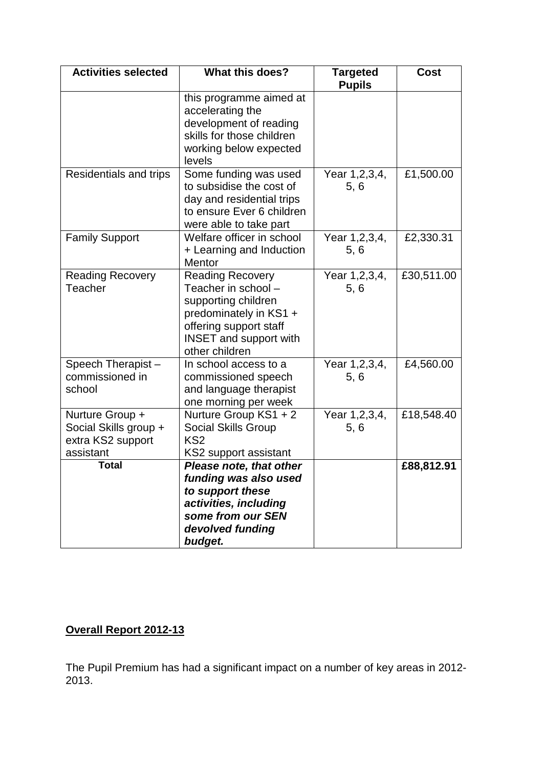| <b>Activities selected</b>                                                 | <b>What this does?</b>                                                                                                                                                       | <b>Targeted</b><br><b>Pupils</b> | Cost       |
|----------------------------------------------------------------------------|------------------------------------------------------------------------------------------------------------------------------------------------------------------------------|----------------------------------|------------|
|                                                                            | this programme aimed at<br>accelerating the<br>development of reading<br>skills for those children<br>working below expected<br>levels                                       |                                  |            |
| Residentials and trips                                                     | Some funding was used<br>to subsidise the cost of<br>day and residential trips<br>to ensure Ever 6 children<br>were able to take part                                        | Year 1, 2, 3, 4,<br>5, 6         | £1,500.00  |
| <b>Family Support</b>                                                      | Welfare officer in school<br>+ Learning and Induction<br>Mentor                                                                                                              | Year 1,2,3,4,<br>5, 6            | £2,330.31  |
| <b>Reading Recovery</b><br>Teacher                                         | <b>Reading Recovery</b><br>Teacher in school -<br>supporting children<br>predominately in KS1 +<br>offering support staff<br><b>INSET and support with</b><br>other children | Year 1, 2, 3, 4,<br>5, 6         | £30,511.00 |
| Speech Therapist-<br>commissioned in<br>school                             | In school access to a<br>commissioned speech<br>and language therapist<br>one morning per week                                                                               | Year 1, 2, 3, 4,<br>5, 6         | £4,560.00  |
| Nurture Group +<br>Social Skills group +<br>extra KS2 support<br>assistant | Nurture Group KS1 + 2<br><b>Social Skills Group</b><br>KS <sub>2</sub><br>KS2 support assistant                                                                              | Year 1,2,3,4,<br>5, 6            | £18,548.40 |
| <b>Total</b>                                                               | <b>Please note, that other</b><br>funding was also used<br>to support these<br>activities, including<br>some from our SEN<br>devolved funding<br>budget.                     |                                  | £88,812.91 |

## **Overall Report 2012-13**

The Pupil Premium has had a significant impact on a number of key areas in 2012- 2013.